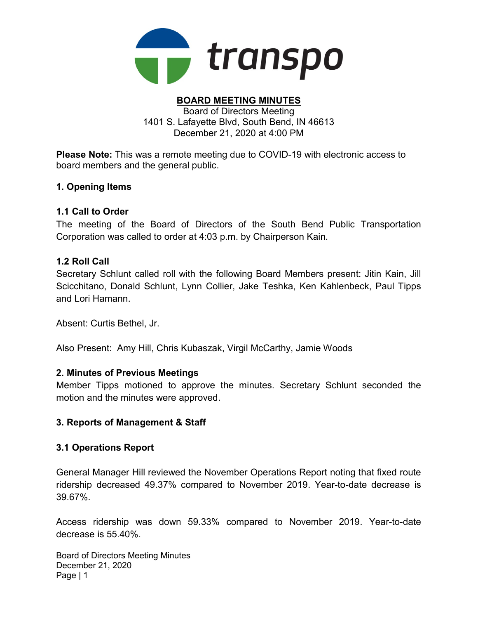

#### BOARD MEETING MINUTES Board of Directors Meeting

1401 S. Lafayette Blvd, South Bend, IN 46613 December 21, 2020 at 4:00 PM

Please Note: This was a remote meeting due to COVID-19 with electronic access to board members and the general public.

### 1. Opening Items

### 1.1 Call to Order

The meeting of the Board of Directors of the South Bend Public Transportation Corporation was called to order at 4:03 p.m. by Chairperson Kain.

### 1.2 Roll Call

Secretary Schlunt called roll with the following Board Members present: Jitin Kain, Jill Scicchitano, Donald Schlunt, Lynn Collier, Jake Teshka, Ken Kahlenbeck, Paul Tipps and Lori Hamann.

Absent: Curtis Bethel, Jr.

Also Present: Amy Hill, Chris Kubaszak, Virgil McCarthy, Jamie Woods

### 2. Minutes of Previous Meetings

Member Tipps motioned to approve the minutes. Secretary Schlunt seconded the motion and the minutes were approved.

# 3. Reports of Management & Staff

### 3.1 Operations Report

General Manager Hill reviewed the November Operations Report noting that fixed route ridership decreased 49.37% compared to November 2019. Year-to-date decrease is 39.67%.

Access ridership was down 59.33% compared to November 2019. Year-to-date decrease is 55.40%.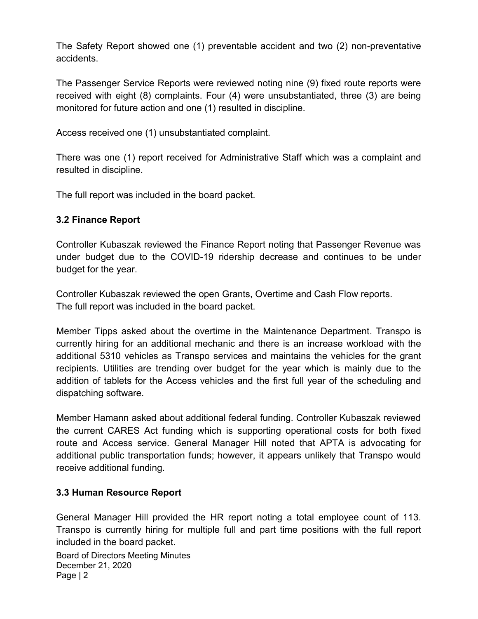The Safety Report showed one (1) preventable accident and two (2) non-preventative accidents.

The Passenger Service Reports were reviewed noting nine (9) fixed route reports were received with eight (8) complaints. Four (4) were unsubstantiated, three (3) are being monitored for future action and one (1) resulted in discipline.

Access received one (1) unsubstantiated complaint.

There was one (1) report received for Administrative Staff which was a complaint and resulted in discipline.

The full report was included in the board packet.

# 3.2 Finance Report

Controller Kubaszak reviewed the Finance Report noting that Passenger Revenue was under budget due to the COVID-19 ridership decrease and continues to be under budget for the year.

Controller Kubaszak reviewed the open Grants, Overtime and Cash Flow reports. The full report was included in the board packet.

Member Tipps asked about the overtime in the Maintenance Department. Transpo is currently hiring for an additional mechanic and there is an increase workload with the additional 5310 vehicles as Transpo services and maintains the vehicles for the grant recipients. Utilities are trending over budget for the year which is mainly due to the addition of tablets for the Access vehicles and the first full year of the scheduling and dispatching software.

Member Hamann asked about additional federal funding. Controller Kubaszak reviewed the current CARES Act funding which is supporting operational costs for both fixed route and Access service. General Manager Hill noted that APTA is advocating for additional public transportation funds; however, it appears unlikely that Transpo would receive additional funding.

# 3.3 Human Resource Report

General Manager Hill provided the HR report noting a total employee count of 113. Transpo is currently hiring for multiple full and part time positions with the full report included in the board packet.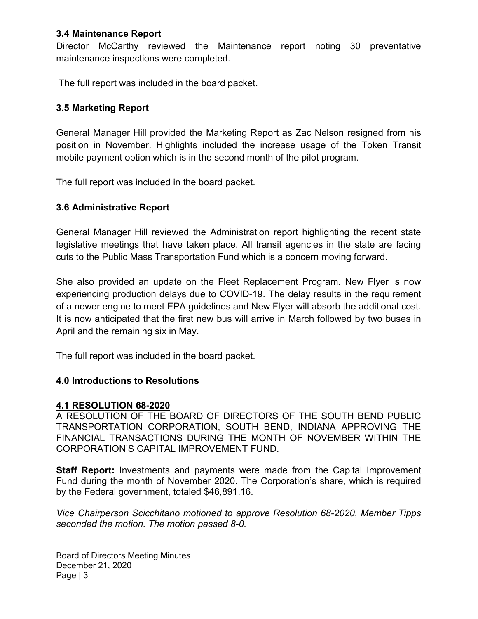### 3.4 Maintenance Report

Director McCarthy reviewed the Maintenance report noting 30 preventative maintenance inspections were completed.

The full report was included in the board packet.

### 3.5 Marketing Report

General Manager Hill provided the Marketing Report as Zac Nelson resigned from his position in November. Highlights included the increase usage of the Token Transit mobile payment option which is in the second month of the pilot program.

The full report was included in the board packet.

### 3.6 Administrative Report

General Manager Hill reviewed the Administration report highlighting the recent state legislative meetings that have taken place. All transit agencies in the state are facing cuts to the Public Mass Transportation Fund which is a concern moving forward.

She also provided an update on the Fleet Replacement Program. New Flyer is now experiencing production delays due to COVID-19. The delay results in the requirement of a newer engine to meet EPA guidelines and New Flyer will absorb the additional cost. It is now anticipated that the first new bus will arrive in March followed by two buses in April and the remaining six in May.

The full report was included in the board packet.

### 4.0 Introductions to Resolutions

### 4.1 RESOLUTION 68-2020

A RESOLUTION OF THE BOARD OF DIRECTORS OF THE SOUTH BEND PUBLIC TRANSPORTATION CORPORATION, SOUTH BEND, INDIANA APPROVING THE FINANCIAL TRANSACTIONS DURING THE MONTH OF NOVEMBER WITHIN THE CORPORATION'S CAPITAL IMPROVEMENT FUND.

**Staff Report:** Investments and payments were made from the Capital Improvement Fund during the month of November 2020. The Corporation's share, which is required by the Federal government, totaled \$46,891.16.

Vice Chairperson Scicchitano motioned to approve Resolution 68-2020, Member Tipps seconded the motion. The motion passed 8-0.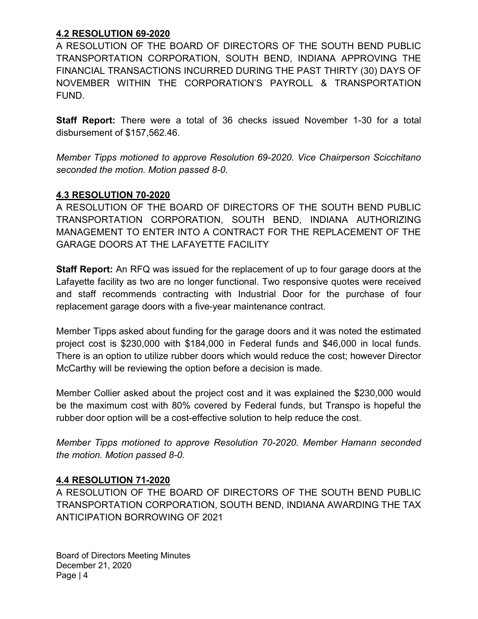# 4.2 RESOLUTION 69-2020

A RESOLUTION OF THE BOARD OF DIRECTORS OF THE SOUTH BEND PUBLIC TRANSPORTATION CORPORATION, SOUTH BEND, INDIANA APPROVING THE FINANCIAL TRANSACTIONS INCURRED DURING THE PAST THIRTY (30) DAYS OF NOVEMBER WITHIN THE CORPORATION'S PAYROLL & TRANSPORTATION FUND.

Staff Report: There were a total of 36 checks issued November 1-30 for a total disbursement of \$157,562.46.

Member Tipps motioned to approve Resolution 69-2020. Vice Chairperson Scicchitano seconded the motion. Motion passed 8-0.

### 4.3 RESOLUTION 70-2020

A RESOLUTION OF THE BOARD OF DIRECTORS OF THE SOUTH BEND PUBLIC TRANSPORTATION CORPORATION, SOUTH BEND, INDIANA AUTHORIZING MANAGEMENT TO ENTER INTO A CONTRACT FOR THE REPLACEMENT OF THE GARAGE DOORS AT THE LAFAYETTE FACILITY

Staff Report: An RFQ was issued for the replacement of up to four garage doors at the Lafayette facility as two are no longer functional. Two responsive quotes were received and staff recommends contracting with Industrial Door for the purchase of four replacement garage doors with a five-year maintenance contract.

Member Tipps asked about funding for the garage doors and it was noted the estimated project cost is \$230,000 with \$184,000 in Federal funds and \$46,000 in local funds. There is an option to utilize rubber doors which would reduce the cost; however Director McCarthy will be reviewing the option before a decision is made.

Member Collier asked about the project cost and it was explained the \$230,000 would be the maximum cost with 80% covered by Federal funds, but Transpo is hopeful the rubber door option will be a cost-effective solution to help reduce the cost.

Member Tipps motioned to approve Resolution 70-2020. Member Hamann seconded the motion. Motion passed 8-0.

# 4.4 RESOLUTION 71-2020

A RESOLUTION OF THE BOARD OF DIRECTORS OF THE SOUTH BEND PUBLIC TRANSPORTATION CORPORATION, SOUTH BEND, INDIANA AWARDING THE TAX ANTICIPATION BORROWING OF 2021